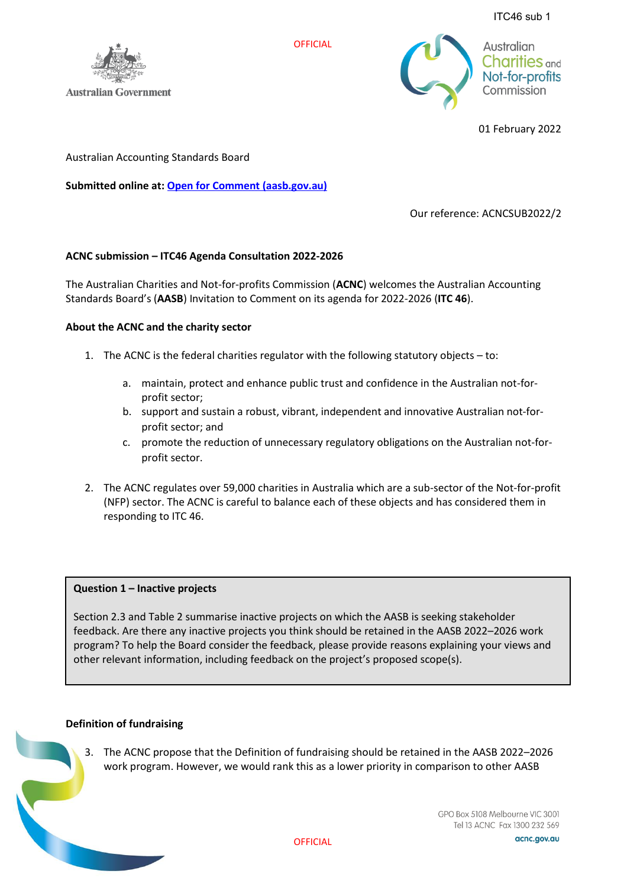ITC46 sub 1



**Australian Government** 

Australian **Charities** and Not-for-profits Commission

01 February 2022

Australian Accounting Standards Board

**Submitted online at: [Open for Comment \(aasb.gov.au\)](https://www.aasb.gov.au/current-projects/open-for-comment/?id=2515)**

Our reference: ACNCSUB2022/2

# **ACNC submission – ITC46 Agenda Consultation 2022-2026**

The Australian Charities and Not-for-profits Commission (**ACNC**) welcomes the Australian Accounting Standards Board's (**AASB**) Invitation to Comment on its agenda for 2022-2026 (**ITC 46**).

**OFFICIAL** 

## **About the ACNC and the charity sector**

- 1. The ACNC is the federal charities regulator with the following statutory objects to:
	- a. maintain, protect and enhance public trust and confidence in the Australian not-forprofit sector;
	- b. support and sustain a robust, vibrant, independent and innovative Australian not-forprofit sector; and
	- c. promote the reduction of unnecessary regulatory obligations on the Australian not-forprofit sector.
- 2. The ACNC regulates over 59,000 charities in Australia which are a sub-sector of the Not-for-profit (NFP) sector. The ACNC is careful to balance each of these objects and has considered them in responding to ITC 46.

#### **Question 1 – Inactive projects**

Section 2.3 and Table 2 summarise inactive projects on which the AASB is seeking stakeholder feedback. Are there any inactive projects you think should be retained in the AASB 2022–2026 work program? To help the Board consider the feedback, please provide reasons explaining your views and other relevant information, including feedback on the project's proposed scope(s).

#### **Definition of fundraising**

3. The ACNC propose that the Definition of fundraising should be retained in the AASB 2022–2026 work program. However, we would rank this as a lower priority in comparison to other AASB

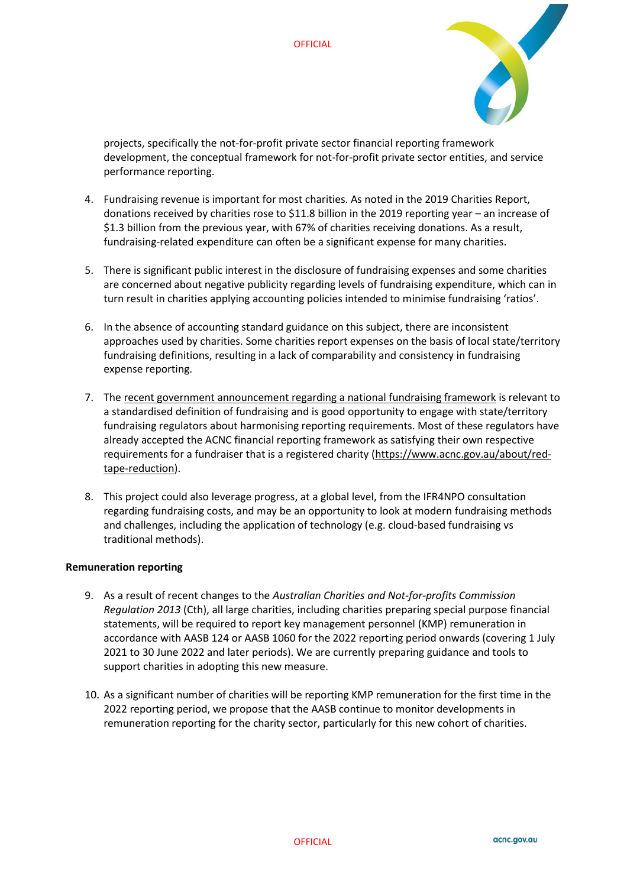

projects, specifically the not-for-profit private sector financial reporting framework development, the conceptual framework for not-for-profit private sector entities, and service performance reporting.

- 4. Fundraising revenue is important for most charities. As noted in the 2019 Charities Report, donations received by charities rose to \$11.8 billion in the 2019 reporting year – an increase of \$1.3 billion from the previous year, with 67% of charities receiving donations. As a result, fundraising-related expenditure can often be a significant expense for many charities.
- 5. There is significant public interest in the disclosure of fundraising expenses and some charities are concerned about negative publicity regarding levels of fundraising expenditure, which can in turn result in charities applying accounting policies intended to minimise fundraising 'ratios'.
- 6. In the absence of accounting standard guidance on this subject, there are inconsistent approaches used by charities. Some charities report expenses on the basis of local state/territory fundraising definitions, resulting in a lack of comparability and consistency in fundraising expense reporting.
- 7. Th[e recent government announcement regarding a national fundraising framework](https://ministers.treasury.gov.au/ministers/michael-sukkar-2019/media-releases/morrison-government-puts-charity-fundraising-reform) is relevant to a standardised definition of fundraising and is good opportunity to engage with state/territory fundraising regulators about harmonising reporting requirements. Most of these regulators have already accepted the ACNC financial reporting framework as satisfying their own respective requirements for a fundraiser that is a registered charity [\(https://www.acnc.gov.au/about/red](https://www.acnc.gov.au/about/red-tape-reduction)[tape-reduction\)](https://www.acnc.gov.au/about/red-tape-reduction).
- 8. This project could also leverage progress, at a global level, from the IFR4NPO consultation regarding fundraising costs, and may be an opportunity to look at modern fundraising methods and challenges, including the application of technology (e.g. cloud-based fundraising vs traditional methods).

#### **Remuneration reporting**

- 9. As a result of recent changes to the *Australian Charities and Not-for-profits Commission Regulation 2013* (Cth), all large charities, including charities preparing special purpose financial statements, will be required to report key management personnel (KMP) remuneration in accordance with AASB 124 or AASB 1060 for the 2022 reporting period onwards (covering 1 July 2021 to 30 June 2022 and later periods). We are currently preparing guidance and tools to support charities in adopting this new measure.
- 10. As a significant number of charities will be reporting KMP remuneration for the first time in the 2022 reporting period, we propose that the AASB continue to monitor developments in remuneration reporting for the charity sector, particularly for this new cohort of charities.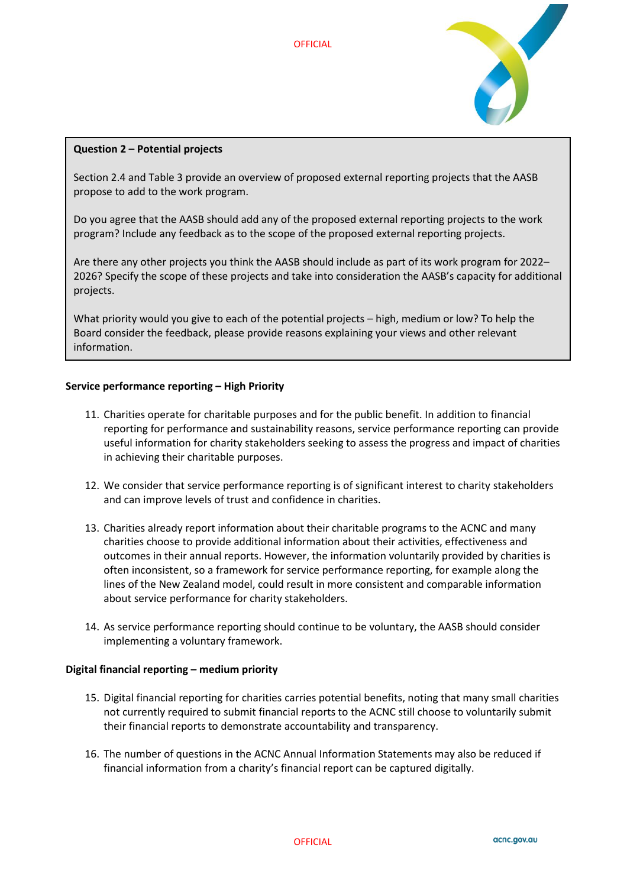

## **Question 2 – Potential projects**

Section 2.4 and Table 3 provide an overview of proposed external reporting projects that the AASB propose to add to the work program.

Do you agree that the AASB should add any of the proposed external reporting projects to the work program? Include any feedback as to the scope of the proposed external reporting projects.

Are there any other projects you think the AASB should include as part of its work program for 2022– 2026? Specify the scope of these projects and take into consideration the AASB's capacity for additional projects.

What priority would you give to each of the potential projects – high, medium or low? To help the Board consider the feedback, please provide reasons explaining your views and other relevant information.

#### **Service performance reporting – High Priority**

- 11. Charities operate for charitable purposes and for the public benefit. In addition to financial reporting for performance and sustainability reasons, service performance reporting can provide useful information for charity stakeholders seeking to assess the progress and impact of charities in achieving their charitable purposes.
- 12. We consider that service performance reporting is of significant interest to charity stakeholders and can improve levels of trust and confidence in charities.
- 13. Charities already report information about their charitable programs to the ACNC and many charities choose to provide additional information about their activities, effectiveness and outcomes in their annual reports. However, the information voluntarily provided by charities is often inconsistent, so a framework for service performance reporting, for example along the lines of the New Zealand model, could result in more consistent and comparable information about service performance for charity stakeholders.
- 14. As service performance reporting should continue to be voluntary, the AASB should consider implementing a voluntary framework.

#### **Digital financial reporting – medium priority**

- 15. Digital financial reporting for charities carries potential benefits, noting that many small charities not currently required to submit financial reports to the ACNC still choose to voluntarily submit their financial reports to demonstrate accountability and transparency.
- 16. The number of questions in the ACNC Annual Information Statements may also be reduced if financial information from a charity's financial report can be captured digitally.

**OFFICIAL**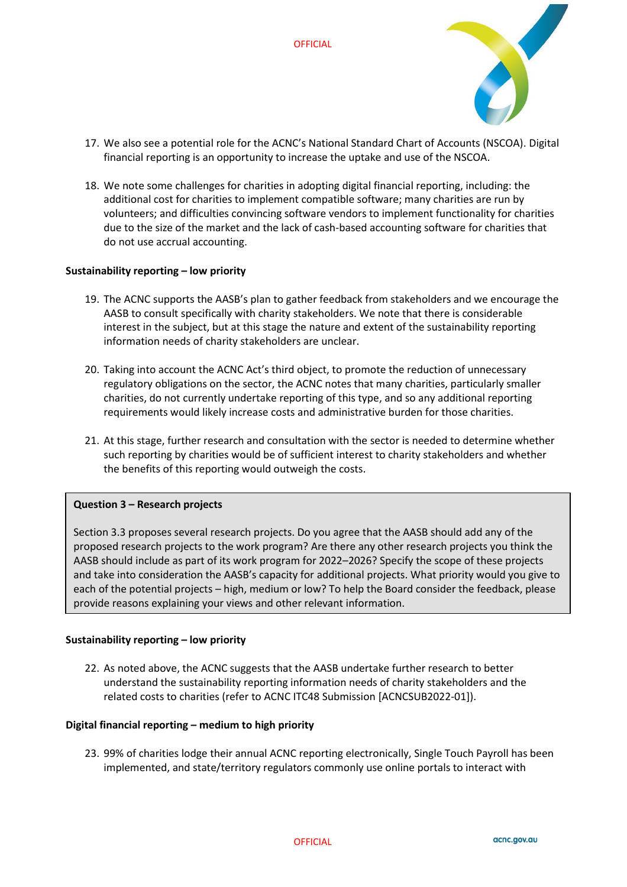

- 17. We also see a potential role for the ACNC's National Standard Chart of Accounts (NSCOA). Digital financial reporting is an opportunity to increase the uptake and use of the NSCOA.
- 18. We note some challenges for charities in adopting digital financial reporting, including: the additional cost for charities to implement compatible software; many charities are run by volunteers; and difficulties convincing software vendors to implement functionality for charities due to the size of the market and the lack of cash-based accounting software for charities that do not use accrual accounting.

#### **Sustainability reporting – low priority**

- 19. The ACNC supports the AASB's plan to gather feedback from stakeholders and we encourage the AASB to consult specifically with charity stakeholders. We note that there is considerable interest in the subject, but at this stage the nature and extent of the sustainability reporting information needs of charity stakeholders are unclear.
- 20. Taking into account the ACNC Act's third object, to promote the reduction of unnecessary regulatory obligations on the sector, the ACNC notes that many charities, particularly smaller charities, do not currently undertake reporting of this type, and so any additional reporting requirements would likely increase costs and administrative burden for those charities.
- 21. At this stage, further research and consultation with the sector is needed to determine whether such reporting by charities would be of sufficient interest to charity stakeholders and whether the benefits of this reporting would outweigh the costs.

#### **Question 3 – Research projects**

Section 3.3 proposes several research projects. Do you agree that the AASB should add any of the proposed research projects to the work program? Are there any other research projects you think the AASB should include as part of its work program for 2022–2026? Specify the scope of these projects and take into consideration the AASB's capacity for additional projects. What priority would you give to each of the potential projects – high, medium or low? To help the Board consider the feedback, please provide reasons explaining your views and other relevant information.

#### **Sustainability reporting – low priority**

22. As noted above, the ACNC suggests that the AASB undertake further research to better understand the sustainability reporting information needs of charity stakeholders and the related costs to charities (refer to ACNC ITC48 Submission [ACNCSUB2022-01]).

#### **Digital financial reporting – medium to high priority**

23. 99% of charities lodge their annual ACNC reporting electronically, Single Touch Payroll has been implemented, and state/territory regulators commonly use online portals to interact with